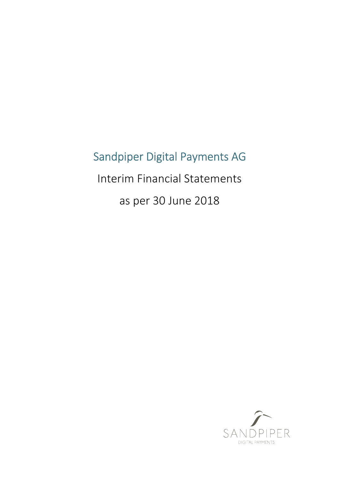# Sandpiper Digital Payments AG

Interim Financial Statements

as per 30 June 2018

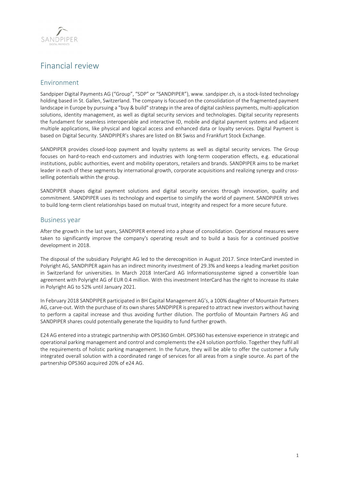

## Financial review

## Environment

Sandpiper Digital Payments AG ("Group", "SDP" or "SANDPIPER"), www. sandpiper.ch, is a stock-listed technology holding based in St. Gallen, Switzerland. The company is focused on the consolidation of the fragmented payment landscape in Europe by pursuing a "buy & build" strategy in the area of digital cashless payments, multi-application solutions, identity management, as well as digital security services and technologies. Digital security represents the fundament for seamless interoperable and interactive ID, mobile and digital payment systems and adjacent multiple applications, like physical and logical access and enhanced data or loyalty services. Digital Payment is based on Digital Security. SANDPIPER's shares are listed on BX Swiss and Frankfurt Stock Exchange.

SANDPIPER provides closed-loop payment and loyalty systems as well as digital security services. The Group focuses on hard-to-reach end-customers and industries with long-term cooperation effects, e.g. educational institutions, public authorities, event and mobility operators, retailers and brands. SANDPIPER aims to be market leader in each of these segments by international growth, corporate acquisitions and realizing synergy and crossselling potentials within the group.

SANDPIPER shapes digital payment solutions and digital security services through innovation, quality and commitment. SANDPIPER uses its technology and expertise to simplify the world of payment. SANDPIPER strives to build long-term client relationships based on mutual trust, integrity and respect for a more secure future.

### Business year

After the growth in the last years, SANDPIPER entered into a phase of consolidation. Operational measures were taken to significantly improve the company's operating result and to build a basis for a continued positive development in 2018.

The disposal of the subsidiary Polyright AG led to the derecognition in August 2017. Since InterCard invested in Polyright AG, SANDPIPER again has an indirect minority investment of 29.3% and keeps a leading market position in Switzerland for universities. In March 2018 InterCard AG Informationssysteme signed a convertible loan agreement with Polyright AG of EUR 0.4 million. With this investment InterCard has the right to increase its stake in Polyright AG to 52% until January 2021.

In February 2018 SANDPIPER participated in BH Capital Management AG's, a 100% daughter of Mountain Partners AG, carve-out. With the purchase of its own shares SANDPIPER is prepared to attract new investors without having to perform a capital increase and thus avoiding further dilution. The portfolio of Mountain Partners AG and SANDPIPER shares could potentially generate the liquidity to fund further growth.

E24 AG entered into a strategic partnership with OPS360 GmbH. OPS360 has extensive experience in strategic and operational parking management and control and complements the e24 solution portfolio. Together they fulfil all the requirements of holistic parking management. In the future, they will be able to offer the customer a fully integrated overall solution with a coordinated range of services for all areas from a single source. As part of the partnership OPS360 acquired 20% of e24 AG.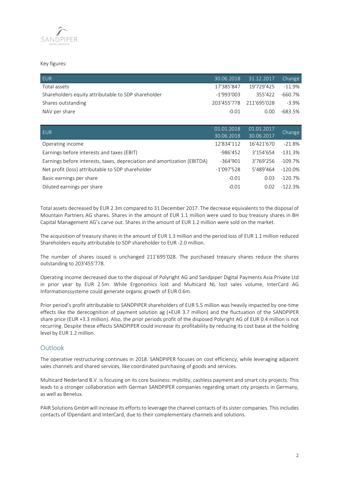

#### Key figures:

| <b>FUR</b>                                          |              | 30.06.2018 31.12.2017   | Change   |
|-----------------------------------------------------|--------------|-------------------------|----------|
| Total assets                                        | 17'385'847   | 19'729'425              | $-11.9%$ |
| Shareholders equity attributable to SDP shareholder | $-1'993'003$ | 355'422                 | -660.7%  |
| Shares outstanding                                  |              | 203'455'778 211'695'028 | $-3.9\%$ |
| NAV per share                                       | $-0.01$      | 0.00 <sub>1</sub>       | -683.5%  |

| <b>EUR</b>                                                               | 01.01.2018   | 01.01.2017 |           |
|--------------------------------------------------------------------------|--------------|------------|-----------|
|                                                                          | 30.06.2018   | 30.06.2017 | Change    |
| Operating income                                                         | 12'834'112   | 16'421'670 | $-21.8%$  |
| Earnings before interests and taxes (EBIT)                               | $-986'452$   | 3'154'654  | $-131.3%$ |
| Earnings before interests, taxes, depreciation and amortization (EBITDA) | $-364'901$   | 3'769'256  | $-109.7%$ |
| Net profit (loss) attributable to SDP shareholder                        | $-1'097'528$ | 5'489'464  | $-120.0%$ |
| Basic earnings per share                                                 | $-0.01$      | 0.03       | $-120.7%$ |
| Diluted earnings per share                                               | $-0.01$      | 0.02       | $-122.3%$ |

Total assets decreased by EUR 2.3m compared to 31 December 2017. The decrease equivalents to the disposal of Mountain Partners AG shares. Shares in the amount of EUR 1.1 million were used to buy treasury shares in BH Capital Management AG's carve out. Shares in the amount of EUR 1.2 million were sold on the market.

The acquisition of treasury shares in the amount of EUR 1.3 million and the period loss of EUR 1.1 million reduced Shareholders equity attributable to SDP shareholder to EUR -2.0 million.

The number of shares issued is unchanged 211'695'028. The purchased treasury shares reduce the shares outstanding to 203'455'778.

Operating income decreased due to the disposal of Polyright AG and Sandpiper Digital Payments Asia Private Ltd in prior year by EUR 2.5m. While Ergonomics lost and Multicard NL lost sales volume, InterCard AG Informationssysteme could generate organic growth of EUR 0.6m.

Prior period's profit attributable to SANDPIPER shareholders of EUR 5.5 million was heavily impacted by one-time effects like the derecognition of payment solution ag (+EUR 3.7 million) and the fluctuation of the SANDPIPER share price (EUR +3.3 million). Also, the prior periods profit of the disposed Polyright AG of EUR 0.4 million is not recurring. Despite these effects SANDPIPER could increase its profitability by reducing its cost base at the holding level by EUR 1.2 million.

### Outlook

The operative restructuring continues in 2018. SANDPIPER focuses on cost efficiency, while leveraging adjacent sales channels and shared services, like coordinated purchasing of goods and services.

Multicard Nederland B.V. is focusing on its core business: mybility, cashless payment and smart city projects. This leads to a stronger collaboration with German SANDPIPER companies regarding smart city projects in Germany, as well as Benelux.

PAIR Solutions GmbH will increase its efforts to leverage the channel contacts of its sister companies. This includes contacts of IDpendant and InterCard, due to their complementary channels and solutions.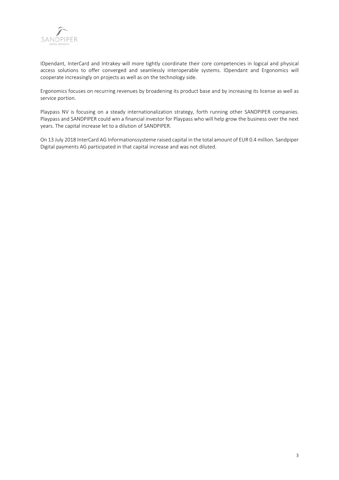

IDpendant, InterCard and Intrakey will more tightly coordinate their core competencies in logical and physical access solutions to offer converged and seamlessly interoperable systems. IDpendant and Ergonomics will cooperate increasingly on projects as well as on the technology side.

Ergonomics focuses on recurring revenues by broadening its product base and by increasing its license as well as service portion.

Playpass NV is focusing on a steady internationalization strategy, forth running other SANDPIPER companies. Playpass and SANDPIPER could win a financial investor for Playpass who will help grow the business over the next years. The capital increase let to a dilution of SANDPIPER.

On 13 July 2018 InterCard AG Informationssysteme raised capital in the total amount of EUR 0.4 million. Sandpiper Digital payments AG participated in that capital increase and was not diluted.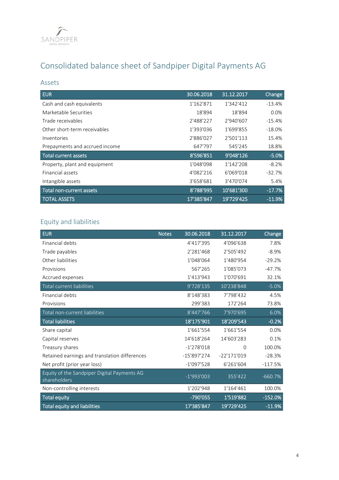

## Consolidated balance sheet of Sandpiper Digital Payments AG

## Assets

| <b>EUR</b>                     | 30.06.2018 | 31.12.2017 | Change   |
|--------------------------------|------------|------------|----------|
| Cash and cash equivalents      | 1'162'871  | 1'342'412  | $-13.4%$ |
| Marketable Securities          | 18'894     | 18'894     | 0.0%     |
| Trade receivables              | 2'488'227  | 2'940'607  | $-15.4%$ |
| Other short-term receivables   | 1'393'036  | 1'699'855  | $-18.0%$ |
| Inventories                    | 2'886'027  | 2'501'113  | 15.4%    |
| Prepayments and accrued income | 647'797    | 545'245    | 18.8%    |
| <b>Total current assets</b>    | 8'596'851  | 9'048'126  | $-5.0%$  |
| Property, plant and equipment  | 1'048'098  | 1'142'208  | $-8.2%$  |
| Financial assets               | 4'082'216  | 6'069'018  | $-32.7%$ |
| Intangible assets              | 3'658'681  | 3'470'074  | 5.4%     |
| Total non-current assets       | 8'788'995  | 10'681'300 | $-17.7%$ |
| <b>TOTAL ASSETS</b>            | 17'385'847 | 19'729'425 | $-11.9%$ |

## Equity and liabilities

| <b>EUR</b>                                                  | <b>Notes</b> | 30.06.2018    | 31.12.2017    | <b>Change</b> |
|-------------------------------------------------------------|--------------|---------------|---------------|---------------|
| Financial debts                                             |              | 4'417'395     | 4'096'638     | 7.8%          |
| Trade payables                                              |              | 2'281'468     | 2'505'492     | $-8.9%$       |
| Other liabilities                                           |              | 1'048'064     | 1'480'954     | $-29.2%$      |
| Provisions                                                  |              | 567'265       | 1'085'073     | $-47.7%$      |
| Accrued expenses                                            |              | 1'413'943     | 1'070'691     | 32.1%         |
| Total current liabilities                                   |              | 9'728'135     | 10'238'848    | $-5.0%$       |
| Financial debts                                             |              | 8'148'383     | 7'798'432     | 4.5%          |
| Provisions                                                  |              | 299'383       | 172'264       | 73.8%         |
| Total non-current liabilities                               |              | 8'447'766     | 7'970'695     | 6.0%          |
| <b>Total liabilities</b>                                    |              | 18'175'901    | 18'209'543    | $-0.2%$       |
| Share capital                                               |              | 1'661'554     | 1'661'554     | 0.0%          |
| Capital reserves                                            |              | 14'618'264    | 14'603'283    | 0.1%          |
| Treasury shares                                             |              | $-1'278'018$  | $\Omega$      | 100.0%        |
| Retained earnings and translation differences               |              | $-15'897'274$ | $-22'171'019$ | $-28.3%$      |
| Net profit (prior year loss)                                |              | $-1'097'528$  | 6'261'604     | $-117.5%$     |
| Equity of the Sandpiper Digital Payments AG<br>shareholders |              | $-1'993'003$  | 355'422       | $-660.7%$     |
| Non-controlling interests                                   |              | 1'202'948     | 1'164'461     | 100.0%        |
| <b>Total equity</b>                                         |              | -790'055      | 1'519'882     | $-152.0%$     |
| Total equity and liabilities                                |              | 17'385'847    | 19'729'425    | $-11.9%$      |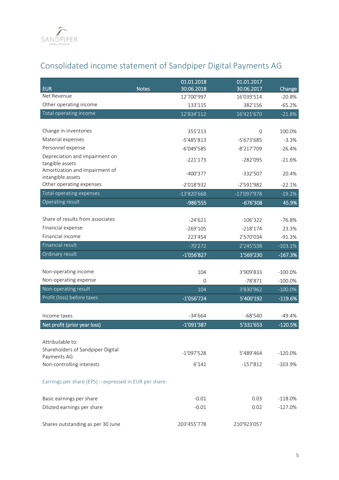

## Consolidated income statement of Sandpiper Digital Payments AG

| <b>EUR</b>                                             | <b>Notes</b> | 01.01.2018<br>30.06.2018 | 01.01.2017<br>30.06.2017 | Change     |
|--------------------------------------------------------|--------------|--------------------------|--------------------------|------------|
| Net Revenue                                            |              | 12'700'997               | 16'039'514               | $-20.8%$   |
| Other operating income                                 |              | 133'115                  | 382'156                  | $-65.2%$   |
| Total operating income                                 |              | 12'834'112               | 16'421'670               | $-21.8%$   |
|                                                        |              |                          |                          |            |
| Change in inventories                                  |              | 355'213                  | $\overline{0}$           | 100.0%     |
| Material expenses                                      |              | $-5'485'813$             | -5'673'685               | $-3.3%$    |
| Personnel expense                                      |              | $-6'049'585$             | $-8'217'709$             | $-26.4%$   |
| Depreciation and impairment on                         |              | $-221'173$               | $-282'095$               | $-21.6%$   |
| tangible assets                                        |              |                          |                          |            |
| Amortization and impairment of<br>intangible assets    |              | $-400'377$               | $-332'507$               | 20.4%      |
| Other operating expenses                               |              | $-2'018'932$             | $-2'591'982$             | $-22.1%$   |
| Total operating expenses                               |              | $-13'820'668$            | $-17'097'978$            | $-19.2%$   |
| Operating result                                       |              | -986'555                 | $-676'308$               | 45.9%      |
|                                                        |              |                          |                          |            |
| Share of results from associates                       |              | $-24'621$                | $-106'322$               | $-76.8%$   |
| Financial expense                                      |              | $-269'105$               | $-218'174$               | 23.3%      |
| Financial income                                       |              | 223'454                  | 2'570'034                | $-91.3%$   |
| <b>Financial result</b>                                |              | $-70'272$                | 2'245'538                | $-103.1%$  |
| Ordinary result                                        |              | -1'056'827               | 1'569'230                | $-167.3%$  |
|                                                        |              |                          |                          |            |
| Non-operating income                                   |              | 104                      | 3'909'833                | $-100.0%$  |
| Non-operating expense                                  |              | $\overline{0}$           | $-78'871$                | $-100.0\%$ |
| Non-operating result                                   |              | 104                      | 3'830'962                | $-100.0\%$ |
| Profit (loss) before taxes                             |              | $-1'056'724$             | 5'400'192                | $-119.6%$  |
|                                                        |              |                          |                          |            |
| Income taxes                                           |              | $-34'664$                | $-68'540$                | -49.4%     |
| Net profit (prior year loss)                           |              | -1'091'387               | 5'331'653                | $-120.5%$  |
| Attributable to:                                       |              |                          |                          |            |
| Shareholders of Sandpiper Digital                      |              |                          |                          |            |
| Payments AG                                            |              | $-1'097'528$             | 5'489'464                | $-120.0%$  |
| Non-controlling interests                              |              | 6'141                    | $-157'812$               | $-103.9%$  |
| Earnings per share (EPS) - expressed in EUR per share: |              |                          |                          |            |
| Basic earnings per share                               |              | $-0.01$                  | 0.03                     | $-118.0%$  |
| Diluted earnings per share                             |              | $-0.01$                  | 0.02                     | $-127.0%$  |
| Shares outstanding as per 30 June                      |              | 203'455'778              | 210'923'057              |            |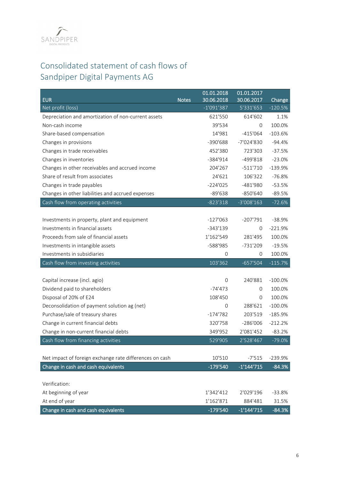

## Consolidated statement of cash flows of Sandpiper Digital Payments AG

| <b>EUR</b>                                              | <b>Notes</b> | 01.01.2018<br>30.06.2018 | 01.01.2017<br>30.06.2017 | Change     |
|---------------------------------------------------------|--------------|--------------------------|--------------------------|------------|
| Net profit (loss)                                       |              | $-1'091'387$             | 5'331'653                | $-120.5%$  |
| Depreciation and amortization of non-current assets     |              | 621'550                  | 614'602                  | 1.1%       |
| Non-cash income                                         |              | 39'534                   | 0                        | 100.0%     |
| Share-based compensation                                |              | 14'981                   | $-415'064$               | $-103.6%$  |
| Changes in provisions                                   |              | $-390'688$               | -7'024'830               | $-94.4%$   |
| Changes in trade receivables                            |              | 452'380                  | 723'303                  | $-37.5%$   |
| Changes in inventories                                  |              | $-384'914$               | $-499'818$               | $-23.0%$   |
| Changes in other receivables and accrued income         |              | 204'267                  | $-511'710$               | $-139.9%$  |
| Share of result from associates                         |              | 24'621                   | 106'322                  | $-76.8%$   |
| Changes in trade payables                               |              | $-224'025$               | $-481'980$               | $-53.5%$   |
| Changes in other liabilities and accrued expenses       |              | $-89'638$                | $-850'640$               | $-89.5%$   |
| Cash flow from operating activities                     |              | $-823'318$               | $-3'008'163$             | $-72.6%$   |
|                                                         |              |                          |                          |            |
| Investments in property, plant and equipment            |              | $-127'063$               | $-207'791$               | $-38.9%$   |
| Investments in financial assets                         |              | $-343'139$               | 0                        | $-221.9%$  |
| Proceeds from sale of financial assets                  |              | 1'162'549                | 281'495                  | 100.0%     |
| Investments in intangible assets                        |              | -588'985                 | $-731'209$               | $-19.5%$   |
| Investments in subsidiaries                             |              | $\mathbf 0$              | 0                        | 100.0%     |
| Cash flow from investing activities                     |              | 103'362                  | $-657'504$               | $-115.7%$  |
|                                                         |              |                          |                          |            |
| Capital increase (incl. agio)                           |              | $\overline{0}$           | 240'881                  | $-100.0%$  |
| Dividend paid to shareholders                           |              | $-74'473$                | 0                        | 100.0%     |
| Disposal of 20% of E24                                  |              | 108'450                  | 0                        | 100.0%     |
| Deconsolidation of payment solution ag (net)            |              | 0                        | 288'621                  | $-100.0\%$ |
| Purchase/sale of treasury shares                        |              | $-174'782$               | 203'519                  | $-185.9%$  |
| Change in current financial debts                       |              | 320'758                  | $-286'006$               | $-212.2%$  |
| Change in non-current financial debts                   |              | 349'952                  | 2'081'452                | $-83.2%$   |
| Cash flow from financing activities                     |              | 529'905                  | 2'528'467                | $-79.0%$   |
|                                                         |              |                          |                          |            |
| Net impact of foreign exchange rate differences on cash |              | 10'510                   | $-7'515$                 | $-239.9%$  |
| Change in cash and cash equivalents                     |              | $-179'540$               | $-1'144'715$             | $-84.3%$   |
|                                                         |              |                          |                          |            |
| Verification:                                           |              |                          |                          |            |
| At beginning of year                                    |              | 1'342'412                | 2'029'196                | $-33.8%$   |
| At end of year                                          |              | 1'162'871                | 884'481                  | 31.5%      |
| Change in cash and cash equivalents                     |              | $-179'540$               | $-1'144'715$             | $-84.3%$   |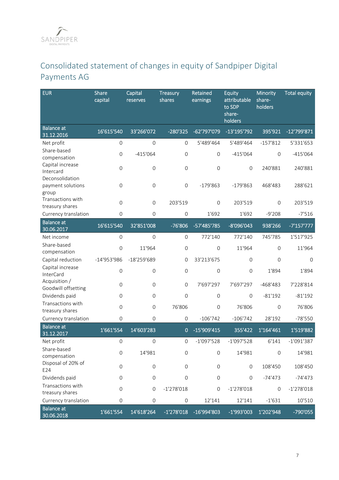## Consolidated statement of changes in equity of Sandpiper Digital Payments AG

| <b>EUR</b>                                       | Share<br>capital    | Capital<br>reserves | <b>Treasury</b><br>shares | Retained<br>earnings | <b>Equity</b><br>attributable<br>to SDP<br>share-<br>holders | Minority<br>share-<br>holders | <b>Total equity</b> |
|--------------------------------------------------|---------------------|---------------------|---------------------------|----------------------|--------------------------------------------------------------|-------------------------------|---------------------|
| <b>Balance</b> at<br>31.12.2016                  | 16'615'540          | 33'266'072          | $-280'325$                | -62'797'079          | $-13'195'792$                                                | 395'921                       | -12'799'871         |
| Net profit                                       | $\mathbf 0$         | $\mathbf 0$         | $\mathbf{O}$              | 5'489'464            | 5'489'464                                                    | $-157'812$                    | 5'331'653           |
| Share-based<br>compensation                      | $\mathsf{O}$        | $-415'064$          | $\mathbf{O}$              | $\mathbf{O}$         | $-415'064$                                                   | $\mathbf{O}$                  | $-415'064$          |
| Capital increase<br>Intercard<br>Deconsolidation | $\mathsf{O}\xspace$ | $\mathsf{O}$        | $\mathbf 0$               | $\mathbf 0$          | $\mathsf{O}\xspace$                                          | 240'881                       | 240'881             |
| payment solutions<br>group                       | $\mathsf{O}\xspace$ | $\mathbf 0$         | $\mathsf{O}\xspace$       | $-179'863$           | $-179'863$                                                   | 468'483                       | 288'621             |
| Transactions with<br>treasury shares             | $\mathbf 0$         | $\mathbf{O}$        | 203'519                   | $\mathbf 0$          | 203'519                                                      | $\mathbf{O}$                  | 203'519             |
| Currency translation                             | $\mathsf{O}\xspace$ | $\mathbf{0}$        | $\mathbf{O}$              | 1'692                | 1'692                                                        | $-9'208$                      | $-7'516$            |
| <b>Balance</b> at<br>30.06.2017                  | 16'615'540          | 32'851'008          | $-76'806$                 | -57'485'785          | -8'096'043                                                   | 938'266                       | $-7'157'777$        |
| Net income                                       | $\mathsf{O}\xspace$ | $\mathbf{O}$        | $\mathbf{O}$              | 772'140              | 772'140                                                      | 745'785                       | 1'517'925           |
| Share-based<br>compensation                      | $\mathsf{O}$        | 11'964              | $\mathsf{O}$              | $\overline{O}$       | 11'964                                                       | $\mathbf{O}$                  | 11'964              |
| Capital reduction                                | $-14'953'986$       | $-18'259'689$       | $\mathbf 0$               | 33'213'675           | $\mathsf{O}\xspace$                                          | $\mathsf{O}\xspace$           | $\mathbf 0$         |
| Capital increase<br>InterCard                    | $\mathsf{O}$        | $\mathsf{O}$        | $\mathsf{O}\xspace$       | $\mathbf 0$          | $\mathbf 0$                                                  | 1'894                         | 1'894               |
| Acquisition /<br>Goodwill offsetting             | $\mathbf{O}$        | $\mathbf{0}$        | $\mathbf{O}$              | 7'697'297            | 7'697'297                                                    | $-468'483$                    | 7'228'814           |
| Dividends paid                                   | $\mathsf{O}\xspace$ | $\mathsf{O}\xspace$ | $\mathbf 0$               | $\mathbf 0$          | $\mathsf{O}\xspace$                                          | $-81'192$                     | $-81'192$           |
| Transactions with<br>treasury shares             | $\mathsf{O}$        | $\mathbf 0$         | 76'806                    | $\mathsf{O}\xspace$  | 76'806                                                       | $\mathsf{O}\xspace$           | 76'806              |
| Currency translation                             | $\mathsf{O}\xspace$ | $\mathbf{0}$        | $\mathsf{O}\xspace$       | $-106'742$           | $-106'742$                                                   | 28'192                        | $-78'550$           |
| <b>Balance</b> at<br>31.12.2017                  | 1'661'554           | 14'603'283          | $\mathbf{0}$              | -15'909'415          | 355'422                                                      | 1'164'461                     | 1'519'882           |
| Net profit                                       | $\mathsf{O}\xspace$ | $\mathsf{O}\xspace$ | $\mathbf 0$               | $-1'097'528$         | $-1'097'528$                                                 | 6'141                         | $-1'091'387$        |
| Share-based<br>compensation                      | $\mathsf{O}\xspace$ | 14'981              | $\mathsf{O}\xspace$       | $\mathbf 0$          | 14'981                                                       | $\mathsf{O}\xspace$           | 14'981              |
| Disposal of 20% of<br>E24                        | $\mathbf 0$         | $\mathbf 0$         | $\mathbf{O}$              | $\mathbf 0$          | $\mathbf 0$                                                  | 108'450                       | 108'450             |
| Dividends paid                                   | $\mathbf 0$         | $\mathsf{O}\xspace$ | $\mathbf 0$               | $\mathbf 0$          | $\mathbf 0$                                                  | $-74'473$                     | $-74'473$           |
| Transactions with<br>treasury shares             | $\mathsf{O}\xspace$ | $\mathsf{O}\xspace$ | $-1'278'018$              | $\mathbf 0$          | $-1'278'018$                                                 | $\mathbf 0$                   | $-1'278'018$        |
| Currency translation                             | $\mathbf 0$         | $\mathbf 0$         | $\mathbf 0$               | 12'141               | 12'141                                                       | $-1'631$                      | 10'510              |
| <b>Balance at</b><br>30.06.2018                  | 1'661'554           | 14'618'264          | $-1'278'018$              | -16'994'803          | $-1'993'003$                                                 | 1'202'948                     | -790'055            |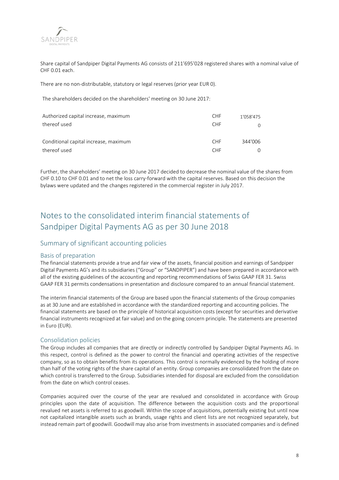

Share capital of Sandpiper Digital Payments AG consists of 211'695'028 registered shares with a nominal value of CHF 0.01 each.

There are no non-distributable, statutory or legal reserves (prior year EUR 0).

The shareholders decided on the shareholders' meeting on 30 June 2017:

| Authorized capital increase, maximum  | <b>CHF</b> | 1'058'475 |
|---------------------------------------|------------|-----------|
| thereof used                          | <b>CHF</b> |           |
| Conditional capital increase, maximum | <b>CHF</b> | 344'006   |
| thereof used                          | <b>CHF</b> |           |

Further, the shareholders' meeting on 30 June 2017 decided to decrease the nominal value of the shares from CHF 0.10 to CHF 0.01 and to net the loss carry-forward with the capital reserves. Based on this decision the bylaws were updated and the changes registered in the commercial register in July 2017.

## Notes to the consolidated interim financial statements of Sandpiper Digital Payments AG as per 30 June 2018

### Summary of significant accounting policies

#### Basis of preparation

The financial statements provide a true and fair view of the assets, financial position and earnings of Sandpiper Digital Payments AG's and its subsidiaries ("Group" or "SANDPIPER") and have been prepared in accordance with all of the existing guidelines of the accounting and reporting recommendations of Swiss GAAP FER 31. Swiss GAAP FER 31 permits condensations in presentation and disclosure compared to an annual financial statement.

The interim financial statements of the Group are based upon the financial statements of the Group companies as at 30 June and are established in accordance with the standardized reporting and accounting policies. The financial statements are based on the principle of historical acquisition costs (except for securities and derivative financial instruments recognized at fair value) and on the going concern principle. The statements are presented in Euro (EUR).

#### Consolidation policies

The Group includes all companies that are directly or indirectly controlled by Sandpiper Digital Payments AG. In this respect, control is defined as the power to control the financial and operating activities of the respective company, so as to obtain benefits from its operations. This control is normally evidenced by the holding of more than half of the voting rights of the share capital of an entity. Group companies are consolidated from the date on which control is transferred to the Group. Subsidiaries intended for disposal are excluded from the consolidation from the date on which control ceases.

Companies acquired over the course of the year are revalued and consolidated in accordance with Group principles upon the date of acquisition. The difference between the acquisition costs and the proportional revalued net assets is referred to as goodwill. Within the scope of acquisitions, potentially existing but until now not capitalized intangible assets such as brands, usage rights and client lists are not recognized separately, but instead remain part of goodwill. Goodwill may also arise from investments in associated companies and is defined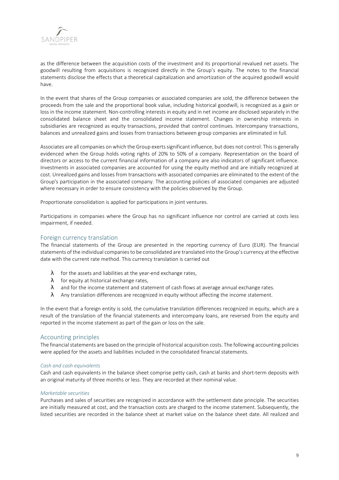

as the difference between the acquisition costs of the investment and its proportional revalued net assets. The goodwill resulting from acquisitions is recognized directly in the Group's equity. The notes to the financial statements disclose the effects that a theoretical capitalization and amortization of the acquired goodwill would have.

In the event that shares of the Group companies or associated companies are sold, the difference between the proceeds from the sale and the proportional book value, including historical goodwill, is recognized as a gain or loss in the income statement. Non-controlling interests in equity and in net income are disclosed separately in the consolidated balance sheet and the consolidated income statement. Changes in ownership interests in subsidiaries are recognized as equity transactions, provided that control continues. Intercompany transactions, balances and unrealized gains and losses from transactions between group companies are eliminated in full.

Associates are all companies on which the Group exerts significant influence, but does not control. This is generally evidenced when the Group holds voting rights of 20% to 50% of a company. Representation on the board of directors or access to the current financial information of a company are also indicators of significant influence. Investments in associated companies are accounted for using the equity method and are initially recognized at cost. Unrealized gains and losses from transactions with associated companies are eliminated to the extent of the Group's participation in the associated company. The accounting policies of associated companies are adjusted where necessary in order to ensure consistency with the policies observed by the Group.

Proportionate consolidation is applied for participations in joint ventures.

Participations in companies where the Group has no significant influence nor control are carried at costs less impairment, if needed.

#### Foreign currency translation

The financial statements of the Group are presented in the reporting currency of Euro (EUR). The financial statements of the individual companies to be consolidated are translated into the Group's currency at the effective date with the current rate method. This currency translation is carried out

- $\lambda$  for the assets and liabilities at the year-end exchange rates,
- $\lambda$  for equity at historical exchange rates,
- $\lambda$  and for the income statement and statement of cash flows at average annual exchange rates.
- $\lambda$  Any translation differences are recognized in equity without affecting the income statement.

In the event that a foreign entity is sold, the cumulative translation differences recognized in equity, which are a result of the translation of the financial statements and intercompany loans, are reversed from the equity and reported in the income statement as part of the gain or loss on the sale.

#### Accounting principles

The financial statements are based on the principle of historical acquisition costs. The following accounting policies were applied for the assets and liabilities included in the consolidated financial statements.

#### *Cash and cash equivalents*

Cash and cash equivalents in the balance sheet comprise petty cash, cash at banks and short-term deposits with an original maturity of three months or less. They are recorded at their nominal value.

#### *Marketable securities*

Purchases and sales of securities are recognized in accordance with the settlement date principle. The securities are initially measured at cost, and the transaction costs are charged to the income statement. Subsequently, the listed securities are recorded in the balance sheet at market value on the balance sheet date. All realized and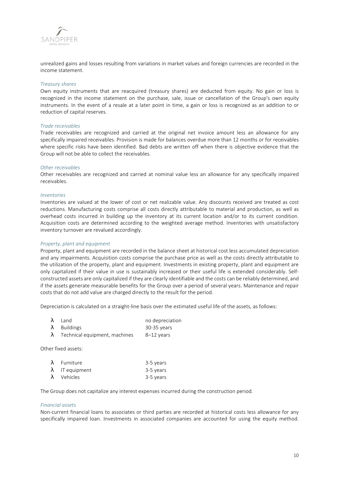

unrealized gains and losses resulting from variations in market values and foreign currencies are recorded in the income statement.

#### *Treasury shares*

Own equity instruments that are reacquired (treasury shares) are deducted from equity. No gain or loss is recognized in the income statement on the purchase, sale, issue or cancellation of the Group's own equity instruments. In the event of a resale at a later point in time, a gain or loss is recognized as an addition to or reduction of capital reserves.

#### *Trade receivables*

Trade receivables are recognized and carried at the original net invoice amount less an allowance for any specifically impaired receivables. Provision is made for balances overdue more than 12 months or for receivables where specific risks have been identified. Bad debts are written off when there is objective evidence that the Group will not be able to collect the receivables.

#### *Other receivables*

Other receivables are recognized and carried at nominal value less an allowance for any specifically impaired receivables.

#### *Inventories*

Inventories are valued at the lower of cost or net realizable value. Any discounts received are treated as cost reductions. Manufacturing costs comprise all costs directly attributable to material and production, as well as overhead costs incurred in building up the inventory at its current location and/or to its current condition. Acquisition costs are determined according to the weighted average method. Inventories with unsatisfactory inventory turnover are revalued accordingly.

#### *Property, plant and equipment*

Property, plant and equipment are recorded in the balance sheet at historical cost less accumulated depreciation and any impairments. Acquisition costs comprise the purchase price as well as the costs directly attributable to the utilization of the property, plant and equipment. Investments in existing property, plant and equipment are only capitalized if their value in use is sustainably increased or their useful life is extended considerably. Selfconstructed assets are only capitalized if they are clearly identifiable and the costs can be reliably determined, and if the assets generate measurable benefits for the Group over a period of several years. Maintenance and repair costs that do not add value are charged directly to the result for the period.

Depreciation is calculated on a straight-line basis over the estimated useful life of the assets, as follows:

| $\lambda$ Land      | no depreciation |
|---------------------|-----------------|
| $\lambda$ Buildings | 30-35 years     |

 $\lambda$  Technical equipment, machines  $8-12$  years

Other fixed assets:

| $\lambda$ Furniture    | 3-5 years |
|------------------------|-----------|
| $\lambda$ IT equipment | 3-5 years |
| $\lambda$ Vehicles     | 3-5 years |

The Group does not capitalize any interest expenses incurred during the construction period.

#### *Financial assets*

Non-current financial loans to associates or third parties are recorded at historical costs less allowance for any specifically impaired loan. Investments in associated companies are accounted for using the equity method.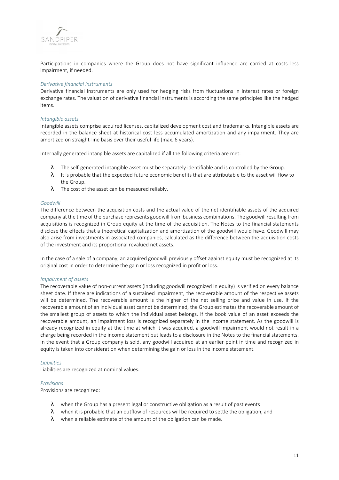

Participations in companies where the Group does not have significant influence are carried at costs less impairment, if needed.

#### *Derivative financial instruments*

Derivative financial instruments are only used for hedging risks from fluctuations in interest rates or foreign exchange rates. The valuation of derivative financial instruments is according the same principles like the hedged items.

#### *Intangible assets*

Intangible assets comprise acquired licenses, capitalized development cost and trademarks. Intangible assets are recorded in the balance sheet at historical cost less accumulated amortization and any impairment. They are amortized on straight-line basis over their useful life (max. 6 years).

Internally generated intangible assets are capitalized if all the following criteria are met:

- $\lambda$  The self-generated intangible asset must be separately identifiable and is controlled by the Group.
- $\lambda$  It is probable that the expected future economic benefits that are attributable to the asset will flow to the Group.
- $\lambda$  The cost of the asset can be measured reliably.

#### *Goodwill*

The difference between the acquisition costs and the actual value of the net identifiable assets of the acquired company at the time of the purchase represents goodwill from business combinations. The goodwill resulting from acquisitions is recognized in Group equity at the time of the acquisition. The Notes to the financial statements disclose the effects that a theoretical capitalization and amortization of the goodwill would have. Goodwill may also arise from investments in associated companies, calculated as the difference between the acquisition costs of the investment and its proportional revalued net assets.

In the case of a sale of a company, an acquired goodwill previously offset against equity must be recognized at its original cost in order to determine the gain or loss recognized in profit or loss.

#### *Impairment of assets*

The recoverable value of non-current assets (including goodwill recognized in equity) is verified on every balance sheet date. If there are indications of a sustained impairment, the recoverable amount of the respective assets will be determined. The recoverable amount is the higher of the net selling price and value in use. If the recoverable amount of an individual asset cannot be determined, the Group estimates the recoverable amount of the smallest group of assets to which the individual asset belongs. If the book value of an asset exceeds the recoverable amount, an impairment loss is recognized separately in the income statement. As the goodwill is already recognized in equity at the time at which it was acquired, a goodwill impairment would not result in a charge being recorded in the income statement but leads to a disclosure in the Notes to the financial statements. In the event that a Group company is sold, any goodwill acquired at an earlier point in time and recognized in equity is taken into consideration when determining the gain or loss in the income statement.

#### *Liabilities*

Liabilities are recognized at nominal values.

#### *Provisions*

Provisions are recognized:

- $\lambda$  when the Group has a present legal or constructive obligation as a result of past events
- $\lambda$  when it is probable that an outflow of resources will be required to settle the obligation, and
- $\lambda$  when a reliable estimate of the amount of the obligation can be made.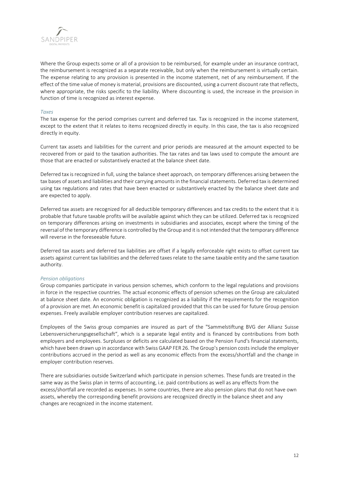

Where the Group expects some or all of a provision to be reimbursed, for example under an insurance contract, the reimbursement is recognized as a separate receivable, but only when the reimbursement is virtually certain. The expense relating to any provision is presented in the income statement, net of any reimbursement. If the effect of the time value of money is material, provisions are discounted, using a current discount rate that reflects, where appropriate, the risks specific to the liability. Where discounting is used, the increase in the provision in function of time is recognized as interest expense.

#### *Taxes*

The tax expense for the period comprises current and deferred tax. Tax is recognized in the income statement, except to the extent that it relates to items recognized directly in equity. In this case, the tax is also recognized directly in equity.

Current tax assets and liabilities for the current and prior periods are measured at the amount expected to be recovered from or paid to the taxation authorities. The tax rates and tax laws used to compute the amount are those that are enacted or substantively enacted at the balance sheet date.

Deferred tax is recognized in full, using the balance sheet approach, on temporary differences arising between the tax bases of assets and liabilities and their carrying amounts in the financial statements. Deferred tax is determined using tax regulations and rates that have been enacted or substantively enacted by the balance sheet date and are expected to apply.

Deferred tax assets are recognized for all deductible temporary differences and tax credits to the extent that it is probable that future taxable profits will be available against which they can be utilized. Deferred tax is recognized on temporary differences arising on investments in subsidiaries and associates, except where the timing of the reversal of the temporary difference is controlled by the Group and it is not intended that the temporary difference will reverse in the foreseeable future.

Deferred tax assets and deferred tax liabilities are offset if a legally enforceable right exists to offset current tax assets against current tax liabilities and the deferred taxes relate to the same taxable entity and the same taxation authority.

#### *Pension obligations*

Group companies participate in various pension schemes, which conform to the legal regulations and provisions in force in the respective countries. The actual economic effects of pension schemes on the Group are calculated at balance sheet date. An economic obligation is recognized as a liability if the requirements for the recognition of a provision are met. An economic benefit is capitalized provided that this can be used for future Group pension expenses. Freely available employer contribution reserves are capitalized.

Employees of the Swiss group companies are insured as part of the "Sammelstiftung BVG der Allianz Suisse Lebensversicherungsgesellschaft", which is a separate legal entity and is financed by contributions from both employers and employees. Surpluses or deficits are calculated based on the Pension Fund's financial statements, which have been drawn up in accordance with Swiss GAAP FER 26. The Group's pension costs include the employer contributions accrued in the period as well as any economic effects from the excess/shortfall and the change in employer contribution reserves.

There are subsidiaries outside Switzerland which participate in pension schemes. These funds are treated in the same way as the Swiss plan in terms of accounting, i.e. paid contributions as well as any effects from the excess/shortfall are recorded as expenses. In some countries, there are also pension plans that do not have own assets, whereby the corresponding benefit provisions are recognized directly in the balance sheet and any changes are recognized in the income statement.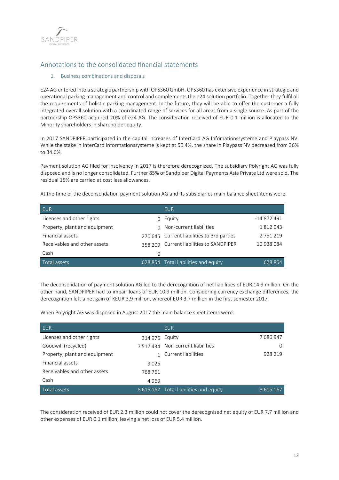

## Annotations to the consolidated financial statements

#### 1. Business combinations and disposals

E24 AG entered into a strategic partnership with OPS360 GmbH. OPS360 has extensive experience in strategic and operational parking management and control and complements the e24 solution portfolio. Together they fulfil all the requirements of holistic parking management. In the future, they will be able to offer the customer a fully integrated overall solution with a coordinated range of services for all areas from a single source. As part of the partnership OPS360 acquired 20% of e24 AG. The consideration received of EUR 0.1 million is allocated to the Minority shareholders in shareholder equity.

In 2017 SANDPIPER participated in the capital increases of InterCard AG Infomationssysteme and Playpass NV. While the stake in InterCard Informationssysteme is kept at 50.4%, the share in Playpass NV decreased from 36% to 34.6%.

Payment solution AG filed for insolvency in 2017 is therefore derecognized. The subsidiary Polyright AG was fully disposed and is no longer consolidated. Further 85% of Sandpiper Digital Payments Asia Private Ltd were sold. The residual 15% are carried at cost less allowances.

At the time of the deconsolidation payment solution AG and its subsidiaries main balance sheet items were:

| <b>EUR</b>                    |         | <b>EUR</b>                                 |               |
|-------------------------------|---------|--------------------------------------------|---------------|
| Licenses and other rights     |         | Equity                                     | $-14'872'491$ |
| Property, plant and equipment | $\cap$  | Non-current liabilities                    | 1'812'043     |
| Financial assets              |         | 270'645 Current liabilities to 3rd parties | 2'751'219     |
| Receivables and other assets  | 358'209 | Current liabilities to SANDPIPER           | 10'938'084    |
| Cash                          | 0       |                                            |               |
| Total assets                  |         | 628'854 Total liabilities and equity       | 628'854       |

The deconsolidation of payment solution AG led to the derecognition of net liabilities of EUR 14.9 million. On the other hand, SANDPIPER had to impair loans of EUR 10.9 million. Considering currency exchange differences, the derecognition left a net gain of KEUR 3.9 million, whereof EUR 3.7 million in the first semester 2017.

When Polyright AG was disposed in August 2017 the main balance sheet items were:

| <b>EUR</b>                    |                | <b>EUR</b>                             |           |
|-------------------------------|----------------|----------------------------------------|-----------|
| Licenses and other rights     | 314'976 Equity |                                        | 7'686'947 |
| Goodwill (recycled)           |                | 7'517'434 Non-current liabilities      |           |
| Property, plant and equipment |                | 1 Current liabilities                  | 928'219   |
| Financial assets              | 9'026          |                                        |           |
| Receivables and other assets  | 768'761        |                                        |           |
| Cash                          | 4'969          |                                        |           |
| Total assets                  |                | 8'615'167 Total liabilities and equity | 8'615'167 |

The consideration received of EUR 2.3 million could not cover the derecognised net equity of EUR 7.7 million and other expenses of EUR 0.1 million, leaving a net loss of EUR 5.4 million.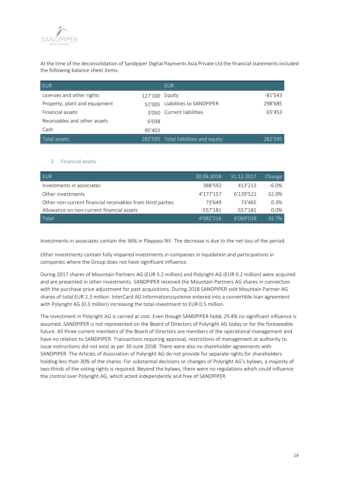

At the time of the deconsolidation of Sandpiper Digital Payments Asia Private Ltd the financial statements included the following balance sheet items:

| <b>EUR</b>                    |         | <b>EUR</b>                           |           |
|-------------------------------|---------|--------------------------------------|-----------|
| Licenses and other rights     | 127'100 | Equity                               | $-81'543$ |
| Property, plant and equipment | 51'005  | Liabilities to SANDPIPER             | 298'685   |
| Financial assets              |         | 3'050 Current liabilities            | 65'453    |
| Receivables and other assets  | 6'038   |                                      |           |
| Cash                          | 95'402  |                                      |           |
| Total assets                  |         | 282'595 Total liabilities and equity | 282'595   |

#### 2. Financial assets

| <b>EUR</b>                                                 | 30.06.2018 | 31.12.2017 | Change    |
|------------------------------------------------------------|------------|------------|-----------|
| Investments in associates                                  | 388'592    | 413'213    | $-6.0\%$  |
| Other investments                                          | 4'177'157  | 6'139'522  | $-32.0\%$ |
| Other non-current financial receivables from third parties | 73'649     | 73'465     | 0.3%      |
| Allowance on non-current financial assets                  | $-557'181$ | -557'181   | $0.0\%$   |
| Total                                                      | 4'082'216  | 6'069'018  | $-32.7%$  |

Investments in associates contain the 36% in Playpass NV. The decrease is due to the net loss of the period.

Other investments contain fully impaired investments in companies in liquidation and participations in companies where the Group does not have significant influence.

During 2017 shares of Mountain Partners AG (EUR 5.2 million) and Polyright AG (EUR 0.2 million) were acquired and are presented in other investments. SANDPIPER received the Mountain Partners AG shares in connection with the purchase price adjustment for past acquisitions. During 2018 SANDPIPER sold Mountain Partner AG shares of total EUR 2.3 million. InterCard AG Informationssysteme entered into a convertible loan agreement with Polyright AG (0.3 million) increasing the total investment to EUR 0.5 million.

The investment in Polyright AG is carried at cost. Even though SANDPIPER holds 29.4% no significant influence is assumed. SANDPIPER is not represented on the Board of Directors of Polyright AG today or for the foreseeable future. All three current members of the Board of Directors are members of the operational management and have no relation to SANDPIPER. Transactions requiring approval, restrictions of management or authority to issue instructions did not exist as per 30 June 2018. There were also no shareholder agreements with SANDPIPER. The Articles of Association of Polyright AG do not provide for separate rights for shareholders holding less than 30% of the shares. For substantial decisions or changes of Polyright AG's bylaws, a majority of two-thirds of the voting rights is required. Beyond the bylaws, there were no regulations which could influence the control over Polyright AG, which acted independently and free of SANDPIPER.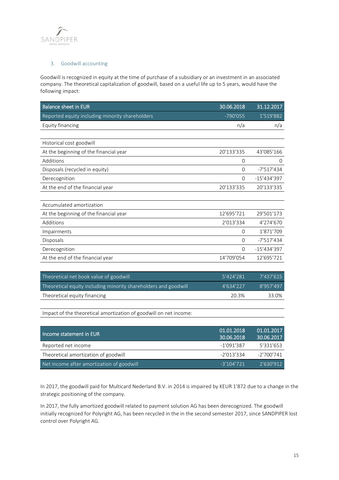

#### 3. Goodwill accounting

Goodwill is recognized in equity at the time of purchase of a subsidiary or an investment in an associated company. The theoretical capitalization of goodwill, based on a useful life up to 5 years, would have the following impact:

| <b>Balance sheet in EUR</b>                     | 30.06.2018 | 31.12.2017    |
|-------------------------------------------------|------------|---------------|
| Reported equity including minority shareholders | $-790'055$ | 1'519'882     |
| Equity financing                                | n/a        | n/a           |
|                                                 |            |               |
| Historical cost goodwill                        |            |               |
| At the beginning of the financial year          | 20'133'335 | 43'085'166    |
| Additions                                       | 0          | $\Omega$      |
| Disposals (recycled in equity)                  | $\Omega$   | $-7'517'434$  |
| Derecognition                                   | $\Omega$   | $-15'434'397$ |
| At the end of the financial year                | 20'133'335 | 20'133'335    |
|                                                 |            |               |
| Accumulated amortization                        |            |               |
| At the beginning of the financial year          | 12'695'721 | 29'501'173    |
| Additions                                       | 2'013'334  | 4'274'670     |
| Impairments                                     | $\Omega$   | 1'871'709     |
| Disposals                                       | $\Omega$   | $-7'517'434$  |
| Derecognition                                   | $\Omega$   | -15'434'397   |
| At the end of the financial year                | 14'709'054 | 12'695'721    |
|                                                 |            |               |

| Theoretical net book value of goodwill                          | 5'424'281 | 7'437'615 |
|-----------------------------------------------------------------|-----------|-----------|
| Theoretical equity including minority shareholders and goodwill | 4'634'227 | 8'957'497 |
| Theoretical equity financing                                    | 20.3%     | 33.0%     |

Impact of the theoretical amortization of goodwill on net income:

| Income statement in EUR                   | 01.01.2018<br>30.06.2018 | 01.01.2017<br>30.06.2017 |
|-------------------------------------------|--------------------------|--------------------------|
| Reported net income                       | $-1'091'387$             | 5'331'653                |
| Theoretical amortization of goodwill      | $-2'013'334$             | $-2'700'741$             |
| Net income after amortization of goodwill | $-3'104'721$             | 2'630'912                |

In 2017, the goodwill paid for Multicard Nederland B.V. in 2014 is impaired by KEUR 1'872 due to a change in the strategic positioning of the company.

In 2017, the fully amortized goodwill related to payment solution AG has been derecognized. The goodwill initially recognized for Polyright AG, has been recycled in the in the second semester 2017, since SANDPIPER lost control over Polyright AG.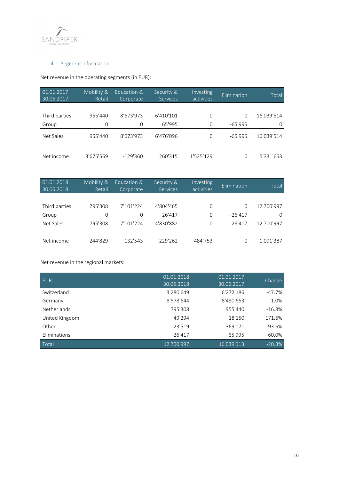

### 4. Segment information

Net revenue in the operating segments (in EUR):

| 01.01.2017<br>30.06.2017 | Mobility &<br>Retail | Education &<br>Corporate | Security &<br><b>Services</b> | Investing<br>activities | Elimination | Total      |
|--------------------------|----------------------|--------------------------|-------------------------------|-------------------------|-------------|------------|
|                          |                      |                          |                               |                         |             |            |
| Third parties            | 955'440              | 8'673'973                | 6'410'101                     | $\Omega$                | $\Omega$    | 16'039'514 |
| Group                    | 0                    | 0                        | 65'995                        | $\Omega$                | $-65'995$   | $\Omega$   |
| Net Sales                | 955'440              | 8'673'973                | 6'476'096                     | $\Omega$                | $-65'995$   | 16'039'514 |
| Net income               | 3'675'569            | $-129'360$               | 260'315                       | 1'525'129               | 0           | 5'331'653  |

| 01.01.2018<br>30.06.2018 | Mobility &<br>Retail | Education &<br>Corporate | Security &<br><b>Services</b> | Investing<br>activities | Elimination | Total        |
|--------------------------|----------------------|--------------------------|-------------------------------|-------------------------|-------------|--------------|
|                          |                      |                          |                               |                         |             |              |
| Third parties            | 795'308              | 7'101'224                | 4'804'465                     | $\Omega$                | $\Omega$    | 12'700'997   |
| Group                    | 0                    | $\Omega$                 | 26'417                        | 0                       | $-26'417$   | $\Omega$     |
| Net Sales                | 795'308              | 7'101'224                | 4'830'882                     | 0                       | $-26'417$   | 12'700'997   |
| Net income               | $-244'829$           | $-132'543$               | $-229'262$                    | $-484'753$              | 0           | $-1'091'387$ |

Net revenue in the regional markets:

| <b>EUR</b>     | 01.01.2018<br>130.06.2018 | 01.01.2017<br>30.06.2017 | Change    |
|----------------|---------------------------|--------------------------|-----------|
| Switzerland    | 3'280'649                 | 6'272'186                | $-47.7%$  |
| Germany        | 8'578'644                 | 8'490'663                | 1.0%      |
| Netherlands    | 795'308                   | 955'440                  | $-16.8%$  |
| United Kingdom | 49'294                    | 18'150                   | 171.6%    |
| Other          | 23'519                    | 369'071                  | $-93.6%$  |
| Eliminations   | $-26'417$                 | $-65'995$                | $-60.0\%$ |
| Total          | 12'700'997                | 16'039'513               | $-20.8%$  |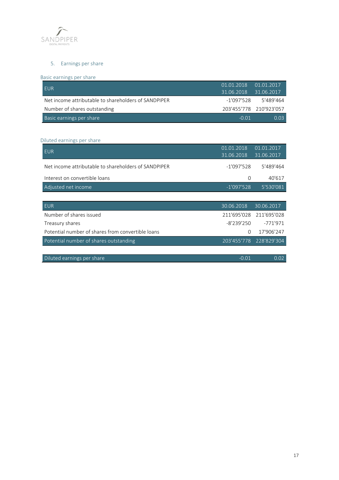

### 5. Earnings per share

### Basic earnings per share

| <b>FUR</b>                                           | 01.01.2018 01.01.2017 |                         |
|------------------------------------------------------|-----------------------|-------------------------|
|                                                      | 31.06.2018 31.06.2017 |                         |
| Net income attributable to shareholders of SANDPIPER | -1'097'528            | 5'489'464               |
| Number of shares outstanding                         |                       | 203'455'778 210'923'057 |
| Basic earnings per share                             | $-0.01$               | 0.03                    |

#### Diluted earnings per share

| <b>EUR</b>                                           | 01.01.2018<br>31.06.2018 | 01.01.2017<br>31.06.2017 |
|------------------------------------------------------|--------------------------|--------------------------|
| Net income attributable to shareholders of SANDPIPER | $-1'097'528$             | 5'489'464                |
| Interest on convertible loans                        | $\Omega$                 | 40'617                   |
| Adjusted net income                                  | $-1'097'528$             | 5'530'081                |
|                                                      |                          |                          |
|                                                      |                          |                          |
| <b>EUR</b>                                           | 30.06.2018               | 30.06.2017               |
| Number of shares issued                              | 211'695'028              | 211'695'028              |
| Treasury shares                                      | $-8'239'250$             | $-771'971$               |
| Potential number of shares from convertible loans    | $\Omega$                 | 17'906'247               |
| Potential number of shares outstanding               |                          | 203'455'778 228'829'304  |
|                                                      |                          |                          |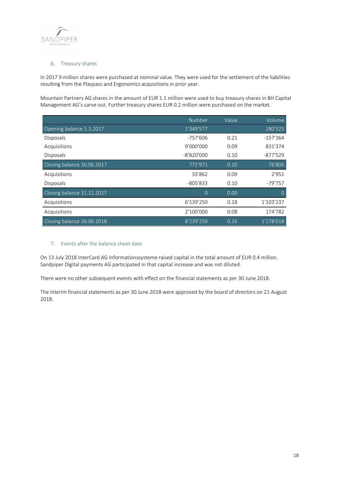

#### 6. Treasury shares

In 2017 9 million shares were purchased at nominal value. They were used for the settlement of the liabilities resulting from the Playpass and Ergonomics acquisitions in prior year.

Mountain Partners AG shares in the amount of EUR 1.1 million were used to buy treasury shares in BH Capital Management AG's carve out. Further treasury shares EUR 0.2 million were purchased on the market.

|                            | Number       | Value | Volume        |
|----------------------------|--------------|-------|---------------|
| Opening balance 1.1.2017   | 1'349'577    |       | 280'325       |
| Disposals                  | -757'606     | 0.21  | $-157'364$    |
| Acquisitions               | 9'000'000    | 0.09  | 831'374       |
| Disposals                  | $-8'820'000$ | 0.10  | $-877'529$    |
| Closing balance 30.06.2017 | 771'971      | 0.10  | 76'806        |
| Acquisitions               | 33'862       | 0.09  | 2'951         |
| Disposals                  | $-805'833$   | 0.10  | -79'757       |
| Closing balance 31.12.2017 | 0            | 0.00  | $\mathcal{O}$ |
| Acquisitions               | 6'139'250    | 0.18  | 1'103'237     |
| Acquisitions               | 2'100'000    | 0.08  | 174'782       |
| Closing balance 30.06.2018 | 8'239'250    | 0.16  | 1'278'018     |

#### 7. Events after the balance sheet date

On 13 July 2018 InterCard AG Informationssysteme raised capital in the total amount of EUR 0.4 million. Sandpiper Digital payments AG participated in that capital increase and was not diluted.

There were no other subsequent events with effect on the financial statements as per 30 June 2018.

The interim financial statements as per 30 June 2018 were approved by the board of directors on 21 August 2018.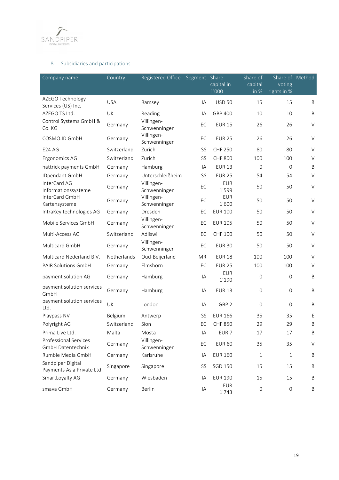

### 8. Subsidiaries and participations

| Company name                                      | Country            | Registered Office          | Segment Share | capital in<br>1'000 | Share of<br>capital<br>$\overline{\text{in } \%}$ | Share of Method<br>voting<br>rights in % |         |
|---------------------------------------------------|--------------------|----------------------------|---------------|---------------------|---------------------------------------------------|------------------------------------------|---------|
| AZEGO Technology                                  | <b>USA</b>         | Ramsey                     | IA            | <b>USD 50</b>       | 15                                                | 15                                       | B       |
| Services (US) Inc.                                |                    |                            |               |                     |                                                   |                                          |         |
| AZEGO TS Ltd.                                     | UK                 | Reading                    | IA            | GBP 400             | 10                                                | 10                                       | $\sf B$ |
| Control Systems GmbH &<br>Co. KG                  | Germany            | Villingen-<br>Schwenningen | EC            | <b>EUR 15</b>       | 26                                                | 26                                       | $\vee$  |
| COSMO.ID GmbH                                     | Germany            | Villingen-<br>Schwenningen | EC            | <b>EUR 25</b>       | 26                                                | 26                                       | $\vee$  |
| <b>E24 AG</b>                                     | Switzerland        | Zurich                     | SS            | <b>CHF 250</b>      | 80                                                | 80                                       | $\vee$  |
| Ergonomics AG                                     | Switzerland        | Zurich                     | SS            | <b>CHF 800</b>      | 100                                               | 100                                      | $\vee$  |
| hattrick payments GmbH                            | Germany            | Hamburg                    | IA            | <b>EUR 13</b>       | $\Omega$                                          | $\Omega$                                 | B       |
| IDpendant GmbH                                    | Germany            | Unterschleißheim           | SS            | <b>EUR 25</b>       | 54                                                | 54                                       | $\vee$  |
| InterCard AG<br>Informationssysteme               | Germany            | Villingen-<br>Schwenningen | EC            | <b>EUR</b><br>1'599 | 50                                                | 50                                       | $\vee$  |
| InterCard GmbH<br>Kartensysteme                   | Germany            | Villingen-<br>Schwenningen | EC            | <b>EUR</b><br>1'600 | 50                                                | 50                                       | $\vee$  |
| IntraKey technologies AG                          | Germany            | Dresden                    | EC            | <b>EUR 100</b>      | 50                                                | 50                                       | $\vee$  |
| Mobile Services GmbH                              | Germany            | Villingen-<br>Schwenningen | EC            | <b>EUR 105</b>      | 50                                                | 50                                       | $\vee$  |
| Multi-Access AG                                   | Switzerland        | Adliswil                   | EC            | <b>CHF 100</b>      | 50                                                | 50                                       | $\vee$  |
| Multicard GmbH                                    | Germany            | Villingen-<br>Schwenningen | EC            | <b>EUR 30</b>       | 50                                                | 50                                       | $\vee$  |
| Multicard Nederland B.V.                          | <b>Netherlands</b> | Oud-Beijerland             | <b>MR</b>     | <b>EUR 18</b>       | 100                                               | 100                                      | $\vee$  |
| <b>PAIR Solutions GmbH</b>                        | Germany            | Elmshorn                   | EC            | <b>EUR 25</b>       | 100                                               | 100                                      | $\vee$  |
| payment solution AG                               | Germany            | Hamburg                    | IA            | <b>EUR</b><br>1'190 | $\overline{0}$                                    | $\mathbf{O}$                             | $\sf B$ |
| payment solution services<br>GmbH                 | Germany            | Hamburg                    | IA            | <b>EUR 13</b>       | $\overline{0}$                                    | 0                                        | $\sf B$ |
| payment solution services<br>Ltd.                 | UK                 | London                     | IA            | GBP <sub>2</sub>    | $\overline{0}$                                    | $\overline{0}$                           | B       |
| Playpass NV                                       | Belgium            | Antwerp                    | SS            | <b>EUR 166</b>      | 35                                                | 35                                       | Ε       |
| Polyright AG                                      | Switzerland        | Sion                       | EC            | <b>CHF 850</b>      | 29                                                | 29                                       | $\sf B$ |
| Prima Live Ltd.                                   | Malta              | Mosta                      | IA            | EUR <sub>7</sub>    | 17                                                | 17                                       | B       |
| <b>Professional Services</b><br>GmbH Datentechnik | Germany            | Villingen-<br>Schwenningen | EC            | <b>EUR 60</b>       | 35                                                | 35                                       | $\vee$  |
| Rumble Media GmbH                                 | Germany            | Karlsruhe                  | IA            | <b>EUR 160</b>      | 1                                                 | 1                                        | B       |
| Sandpiper Digital<br>Payments Asia Private Ltd    | Singapore          | Singapore                  | SS            | SGD 150             | 15                                                | 15                                       | $\sf B$ |
| SmartLoyalty AG                                   | Germany            | Wiesbaden                  | IA            | <b>EUR 190</b>      | 15                                                | 15                                       | B       |
| smava GmbH                                        | Germany            | Berlin                     | IA            | <b>EUR</b><br>1'743 | $\mathsf{O}\xspace$                               | $\mathsf{O}\xspace$                      | B       |